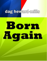# dag heward-mills

# Born Acain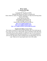#### **Born Again** By **Dag Heward-Mills**

\* \* \* \* \*

Copyright 2007 Dag Heward-Mills Published By Dag Heward-Mills on Smashwords Unless otherwise stated, all Scripture quotations are taken from the King James Version of the Bible. E mail Dag Heward-Mills : info@daghewardmillsbooks.org evangelist@daghewardmills.org Find out more about Dag Heward-Mills at: <http://www.daghewardmills.org/> <http://www.daghewardmills.org/lci/> <http://www.daghewardmills.org/healingjesuscrusade/>

#### **Smashwords Edition, License Notes**

This ebook is licensed for your personal enjoyment only. This ebook may not be re-sold or given away to other people. If you would like to share this book with another person, please purchase an additional copy for each recipient. If you're reading this book and did not purchase it, or it was not purchased for your use only, then please return to Smashwords.com and purchase your own copy. Thank you for respecting the hard work of this author.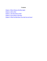#### *Contents*

<span id="page-2-0"></span>[Chapter](#page-2-0) 1-What it Means to Be Born Again

[Chapter](#page-12-0) 2- Hell is Real

Chapter 3.-The [Description](#page-18-0) of Hell

Chapter 4.-Seven Steps to [Salvation](#page-24-0)

Chapter [5.-What](#page-27-0) You Must Know Now that You Are Saved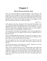### **Chapter 1**

#### **What it Means to Be Born Again**

There was a man of the Pharisees, named Nicodemus, a ruler of the Jews: The same came to Jesus by night, and said unto him, Rabbi, we know that thou art a teacher come from God: for no man can do these miracles that thou doest, except God be with him. Jesus answered and said unto him, Verily, verily, I say unto thee, Except a man be born again, he cannot see the kingdom of God. Marvel not that I said unto thee, Ye must be born again

John 3:1-3, 7

In this passage, Jesus had a discussion with a man called Nicodemus. Jesus was at home one night when Nicodemus came to Him. Nicodemus was a very important person in town. The Bible says he was a ruler of the Jews, a master of Israel, a leader in the synagogues. Nicodemus went to see Jesus at night, so that all the people who respected him would not see him.

This prominent Jewish leader said something to Jesus, which prompted Him to give an interesting reply. Nicodemus told Jesus that he recognized Him as a great man of God.

Jesus saw right through him and replied, "You must be born again. You are a good person. I know you pay tithes and fast often. You are a Pharisee, and a ruler of the Jews, but you still need to be born again!"

Now, the questions we have to ask ourselves are these: Why did Jesus tell Nicodemus that he had to be born again? Why did He launch out into this sermon?

The word "born" means "to be produced or created". Therefore, to be "born again" means "to be produced or created again".

There are lots of people doing all sorts of religious things. These things look "Christian", but they are not. Such people are not born again. There is no religion that requires a person to be born again. All the major religions of this world give instructions for following certain rules of conduct. There is, however, no religion that claims an inner new birth. Christianity stands alone in this claim!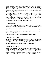To understand what it means to be born again, we can look at what being born again is not! To understand the Bible better, I often try to view the opposite of what is written. This can be very revealing. For example: "...Seek ye first the Kingdom of God, and his righteousness; and all these things shall be added unto you" (Matthew 6:33).

The opposite of this is: "...Do not seek first the Kingdom of God, and all these things shall not be added unto you." It is as simple as that. If you do not seek first the Kingdom of God, you cannot expect God to give you the things you need. So, to understand the concept of being born again, we are going to look at twenty things that are NOT the same as being born again.

Twenty Things that Are Not the Same as Being Born Again

#### **1. Admiring miracles**

Whenever there is a miracle worker, large crowds gather. These crowds are often not stable crowds; they only gather for a reason and for a season. But it is sad to say that many of them are not born again.

When Jesus himself organized miracle crusades, large crowds gathered but when he began teaching certain hard truths, he was deserted by all, except the twelve disciples (John 6).

A deep admiration for miracles is not the same as being born again.

#### **2. Befriending "men of God"**

Nicodemus got acquainted with Jesus and became His friend. In the same way, there are many who have become friends of pastors and men of God. Jesus did not say, "Except a man has a pastor as his friend…"; He did say, "...except a man be born again he cannot see the Kingdom of God" (John 3:3).

#### **3. Sending money to church**

Sending money to church is not the same as being born again. Some people have given money to churches for many years, but that is not a substitute for being born again. It will not result in the giver receiving special treatment at the gates of Heaven. Though it is good to give to God, no matter how much money you contribute to the church, you still need to be born again.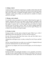#### **4. Joining a church**

A person may join a church by registering as a member of that church and still not be born again. I have been in church all my life but I did not get born again until I got to form three in Achimota Secondary School in Accra, Ghana. In a "religious" country such as Ghana, you could easily be a member of a church, and not be born again.

#### **5. Playing a role in church**

It is possible to play a prominent role in church without being born again. For instance, during an altar call in our church, some choristers responded to the call to give their lives to Christ. They were members of the choir, but were not born again. A person who is not born again may get involved in church activities and even become a priest. There are priests standing behind the "sacred desks" in many churches who are not even born again! Playing a role in church is not the same as being born again.

#### **6. Praying everyday**

Praying everyday is not the same as being born again. When I was a child, I approached a priest and asked him, "Sir, how can I go to Heaven?"

He said, "My son, pray 'Hail Mary' three times a day, and 'Our Father' once a day, and you will go to Heaven."

I thanked him, and began to pray everyday, reciting The Lord's Prayer and Hail Mary.

Oh, how I prayed! But, that was not the way to salvation! I diligently followed my priest's instructions but I was still not born again.

You may be very religious, but if you are not born again, you will die and go to Hell.

#### **7. Reading the Bible**

Reading the Bible and quoting the Scriptures is not a guarantee of salvation. You may be able to quote the Bible from Genesis to Revelation. This does not mean that you are born again. There are even theologians who have doctorate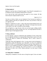degrees, but are not born again.

#### **8. Being baptized**

Baptism is not the same as being born again. Jesus Himself commanded us to be baptized, but He said baptism should follow salvation.

Go ye into all the world, and preach the gospel to every creature. He that believeth and is baptized shall be saved..

Mark 16:15, 16

You have to believe before you are baptized. It has become the tradition to baptize children when they are eight days old. How can you believe when you are eight days old?

Baptism is immersion in water: a sign to the person being baptized and to all witnesses, that he is now born again. The "old man" of sin goes down into the water and the "new man" recreated in Christ emerges.

We say baptism is a sign, because when you are born again, nothing actually happens physically for those around you to see. So being baptized becomes a physical sign of what happened inside.

#### **9. Being confirmed**

In some churches, a person is baptized by the sprinkling of water on him when he is an eight-day-old baby. It is expected that when he grows up he will come back to the church to confirm his Christianity. This is what is known as confirmation.

I think that what really happened is this: At some point in the development of Christianity, people felt that they were "big-shots"; too big to be immersed publicly in water. It was humiliating for them to be put into water publicly, so I believe it was arranged for people to be baptized as children. Then, when they grew up, they were confirmed. The result of all this is a lot of confirmed unbelievers on their way to Hell. Being confirmed is not the same as being born again.

#### **10. Taking Holy Communion**

Taking Holy Communion is not the same as being born again. It does not matter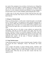how much of the communion wine you drink, or the bread you eat. Taking Holy Communion or the Lord's Supper is actually meant for born-again Christians, who eat the bread and drink the wine in remembrance of Christ's death. However, it is now common to find Reverend Ministers serving communion to die-hard sinners who are on their deathbeds, approaching the gates of Hell.

A whole crate of wine and a big loaf of bread which has been left in the Cathedral until it becomes "holy" may be served to a sinner but it will not take him to Heaven.

#### **11. Being in a Christian family**

Being in a Christian family is not the same as being born again. I was brought up in a "Christian" family. I was baptized as a baby, and then confirmed later. I was also given a Bible and a hymn book by my godmother in England, but it just gathered dust on the shelf. I was in the church with my family for years until I became born again; there was a definite point in my life when I got born again.

I find that those who are a bit older or more orthodox are surprised (like Nicodemus), when they are told they must be born again. They have been devoted "Christians" all their lives, probably singing all the hymns, songs and doxologies they know. If after serving the Lord sincerely over the years, some young man comes along to tell them that they need to be born again, I can understand their surprise. All the same, a "Christian" upbringing is no substitute for being born again.

#### **12. Using Christian jargon**

Using Christian jargon is not the same as being born again. Examples of these are: "Praise the Lord", "Hallelujah", "Glory", "Be blessed", and "Amen, brother!"

I have worked with people in various Christian groups, sometimes with musicians. There are times I have felt that some of these people were not really born again. I doubted if they were really Christians, yet they were so rich in Christian jargon. When they met you, they knew exactly what they were supposed to say.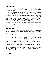#### **13. Denominationalism**

Denominationalism, or "Churchianity", is not the same as being born again. Being a member of one of the great denominations of our day does not make you a born-again Christian.

You may be in the Lighthouse Church, but be an unbeliever. In the same way, you may be in the Methodist Church, but simply be a Methodist unbeliever.

The Catholic Church is a very powerful denomination, which I really respect. In my estimation, other churches are not as devoted and as charitable as the Catholic Church. When I was in the medical school, I had the opportunity to learn first-hand about the Catholic Relief Services. They offer wonderful social, medical, and relief services. God bless their hearts for all their efforts.

However, it is my duty to inform all Catholics that they must be born again. Being part of your great denomination does not mean that you are born again. Sorry!

#### **14. Being a moralist**

Being a moralist is not the same as being born again. There are some people who are very moral, but having good morals is not the same as being born again.

For instance, there are some people who would never break their marriage vows. I once spoke to an unbeliever, who belonged to an occult group. He told me he had been married for 17 years but had never been unfaithful to his wife, even though she could not have a child. This is a test many born-again Christians may not be able to pass. You would find that men would commonly divorce their barren wives in order to have a child. But listen, being such a moralist does not mean you are born again.

I congratulate you for your morality. I respect you for the fact that you never commit adultery or fornication. I am glad that you do not read pornography or chase prostitutes, but I must still inform you that you must be born again! Nicodemus was a moralist, that is why he was so surprised when Jesus told him that he needed to be born again.

#### **15. Being principled**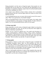Being principled is not the same as being born again. Some people are very principled and will not cheat you, even if they have the opportunity to do so. Sometimes in examination situations, people cheat; but such principled people will not have anything to do with it!

I have found it more difficult to bring to Christ, someone who is principled, has good morals, but who is not born again! Hard-core sinners are more aware that they need God.

A very principled person sees no reason why he must be saved. His excuse is often, "Why? I am a good person, why should I change?"

There are principled doctors who are not even born again, who simply refuse to involve themselves in the practice of illegal abortion. To them, abortion is murder. Yet, even such principled doctors need to be born again.

#### **16. Being respectable**

Being respectable is not the same as being born again. Indeed, you may have appeared respectable for years. All your life you may have been singled out and given leadership responsibilities.

Perhaps, you are a person in authority now. You could be the President of a country, a parliamentarian, a Minister of State, a King, a Chief, a headmaster or headmistress. Such positions are held in high esteem. Do not be deceived. That respect accorded you does not mean you are born again. Jesus says to the President, "Marvel not that I say unto thee, Ye must be born again."

#### **17. Being popular**

Being popular or famous is not the same as being born again. I remember that in Achimota Secondary School, there was this particular boy who was extremely short. Whenever he walked in or out of any school gathering, there was a great uproar, as everybody cheered him on. He was a very popular guy but he still needed to be born again! You may be popular. People may hail you wherever you go, but you still need to be born again!

There are some popular politicians. In spite of their popularity they must still be born again! People may like you. Everybody may be pleased with you. Yet, being liked is not the same as being born again.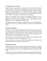#### **18. Obeying a new set of rules**

Being born again is not the same as obeying a new set of rules. When you join a club, such as an Old Boys' Association or a Keep Fit Club, you may be presented with a new set of rules, their guiding principles. My wife's school, Wesley Girls' High School, has as its motto: "Live pure, Speak true, Right wrong and Follow the King". This set of rules may be your guiding principle. Dear "old boy" and "old girl", you still have to be born again.

There are also people who are rich in wise sayings. In Ghana, one of our popular wise sayings can be translated as, "The animal without a tail is protected by God". The deeper meaning of this is, "God takes care of the fatherless". How wise and impressive this sounds!

Throughout your entire life you may be guided by these nice sounding phrases. However, Jesus says to you, "Marvel not that I say unto thee, Ye must be born again."

#### **19. Being a good spouse**

Being a good wife or a good husband does not mean that person is born again. You may love your husband, look after him, submit to him, support him and pray for him but it does not mean you are born again. You may be living happily together, but it does not mean you will go to Heaven. Such people are often surprised when you tell them to be born again.

They will say, "Look at me! What is wrong with me? I am a good person, and this is my happy wife. We are living happily ever after."

I must say that there are some good non-Christian husbands, but whether you are a good spouse or not, you have to be born again!

#### **20. Being rich or poor**

Being rich or poor is not the same as being born again. Being poor in this life is all the more reason why you must be born again. Your poverty and suffering in this life should not deceive you into thinking that there will be peace after death.

If you are very rich and everything is going well, you may think you don't need to add anything to your life. Jesus says to the rich and the poor alike, "Marvel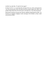not that I say unto thee, Ye must be born again."

In Luke 16:19-31, we read about the rich man. He was a fool, not because he was rich, but because in his rich state he did not acknowledge God. Often, rich people forget about God. Do not be just a rich man; be a wise and rich person.

Read about what the rich man said when he suddenly found himself in Hell - he became an evangelist, longing to send a message to his brothers so they would not join him in Hell!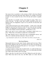# **Chapter 2**

#### **Hell Is Real**

<span id="page-12-0"></span>One reason why we can believe in the existence of Hell is that Jesus Himself preached more about Hell than many other subjects! For example, in the book of Luke 16, Jesus recounts the story of the rich man and Lazarus in graphic detail.

Notice that this is no parable. In fact, Jesus began by saying, "There was a certain rich man..." In other words, there existed a particular person, not a figment of His own imagination. It goes on to say that the rich man died, and was buried.

"And in hell he lift up his eyes, being in torments..." (Luke 16:23). Note that though his body had been buried, he could still see, hear and feel tormented. All this was happening in a particular place - a "place of torment" (verse 28). These events actually occurred somewhere. And that place is real.

Hell is real, and it is not a reform school. According to Mark 9:44, it is a place: "Where their worm dieth not, and the fire is not quenched."

Our Judge Himself warns us about Hell and its unimaginable horrors, and offers us a wonderful and better alternative: Heaven. He said:

*...I go and prepare a place for you...that where I am, there ye may be also*

*John 14:3*

#### **The Great Mystery**

Many people known to us have died: friends, relations and loved ones. Where did all these departed souls go? Can anyone tell me where our ancestors are right now? Did they just slip into their graves to "rest in peace"? Or did they vanish mysteriously elsewhere?

As medical students working at the Accident Centre, we could encounter up to ten fatalities from one road accident alone. It was very distressing, and made one wonder where all these souls were going.

When a man dies, his spirit leaves his body. Without the spirit the body is dead. When Jesus died on the cross, the Bible makes us to know that He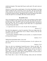yielded up the ghost. This means that He gave up the spirit. His spirit came out of His body.

Likewise, we learn in the seventh chapter of Acts that when Stephen was being stoned to death, he said, "Lord Jesus, receive my spirit." We can see here that when a man dies, his spirit moves from one point to another. The spirit cannot be affected by physical death. Although the body itself decomposes and returns to dust, the spirit lives on eternally. But where do their spirits go?

#### **Beyond the Grave**

I have seen people die on the wards very often. You can almost see their spirits coming out of them as they gasp for their last breath. One minute they are alive, the next minute...they "pop off". Gone! Let's go beyond the grave and find out where they went. You see, according to God's Word, there is an appointment we must all keep after death.

*...it is appointed unto men once to die, but after this the judgement*

*Hebrews 9:27*

Basically, this judgement is a time for separation: Christ (our Judge) takes His own (those who have yielded their lives to Him) to Heaven, and casts the rebellious sinners into Hell.

*...and HE SHALL SEPARATE THEM one from another, as a shepherd divideth his sheep from the goats*

*Matthew 25:32*

Talking about unrepentant sinners, Jesus said:

*And these shall go away into everlasting punishment: but the righteous into life eternal*

*Matthew 25:46*

There are only two destinations beyond the grave: Heaven and Hell. The spirits of those who were righteous in Christ go to be with the Father in Heaven, while the spirits of those who rejected Jesus will be cast down to Hell. There is no third destination called: "Purgatory". Here, a soul is supposed to be kept for a while, until he is purged from his sins and carried to Heaven. That is just another lie of the devil!

Dear friend, there is more to life than marriage, money and your retirement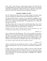home. I know a man who has a special bank account for his burial. He has everything planned out carefully to the last detail. Others have given elaborate instructions concerning their coffins and their graves. But that is where their plans end. Little do they realize that they are going beyond the grave!

#### **Automatic Candidates for Hell**

My wife Adelaide and I have tried to set a godly example in our home, doing our best to bring up our children in the nurture and admonition of the Lord.

But right from their infancy, we observe to our amazement a naughtiness which could not have come out of a godly atmosphere of love and peace. Who taught them to be so stubborn and disobedient? Who taught them to lie? Where did they pick all this from?

The Bible explains that sin came into the world through Adam, who was the father of the entire human race. When he sinned, he passed on that sinful nature to all his descendants like a hereditary disease: a family trait.

*Wherefore, as by one man sin entered into the world, and death by sin; and so death passed upon all men, for that all have sinned...*

#### *Romans 5:12*

Sin is a family trait of the human race. This is why you don't have to teach a child how to lie. He just lies naturally. It comes automatically. Children steal and cheat automatically. They're self-willed and disobedient by nature. It just happens. And you did the same thing when you were a child, because we are all born in sin. We take after our forefather Adam. That is why the Bible says:

*For ALL have sinned, and come short of the glory of God…*

#### *Romans 3:23*

Adam's sin turned men into natural born sinners, which resulted in a death sentence being passed on all men. This makes us all automatic candidates for Hell.

In other words, every unsaved soul is bound to end up in Hell, from the President to the poorest man in the village. So you see, it's very easy to arrive at this fearful destination. Even if we just sit down, doing nothing (just minding our own business), we will still end up there. It's automatic. Our "Adamic" nature ensures that.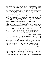Now, we know from God's Word that the wages of sin is death: everlasting separation from God (Romans 6:23). Another word for "wages" is payment or salary. Your salary is your entitlement what you are entitled to. This means what you get for what you've done. What we get for being sinners is eternal separation from a righteous God. That is why man in his natural condition is considered spiritually dead, instead of being spiritually alive to the things of God. Spiritual death is the result of man's sin.

Have you noticed that all over the world the dead are separated from the living? Even cemeteries are usually located out of town to separate the living from the dead. Think about all your loved ones who have died in the past. In spite of all the love you had for them, you could no longer share your home with them because they had developed a condition called "death".

They were buried in the graveyard, out of sight. And you left them there, because their condition made it impossible for you to have fellowship with them. That's exactly how it is with God. Spiritually dead man is separated from a Holy God. Unless he is born again spiritually, and reconciled to God through Christ, man is headed for Hell. God's Word explains it simply:

*Therefore as sin came into the world through one man, and death as the result of sin, SO DEATH SPREAD TO ALL MEN [no one being able to stop it or to escape its power] because ALL MEN SINNED.*

*Romans 5:12, Amplified Bible*

Jesus, in His compassion for mankind, urged men to believe on Him and to flee from sin so that we would not perish but have everlasting life. Unfortunately, most people have not accepted this invitation, and have died in their sins, passing away into Hell. Alas, multitudes have literally poured into Hell over the years. Multitudes? You mean masses of people? Yes, I'm afraid so.

*Enter ye in the strait gate: for wide is the gate, and broad is the way, that leadeth to destruction, and MANY THERE BE WHICH GO IN THERE AT.*

*Matthew 7:13*

#### **Why Men Go to Hell**

As a teenager, I regularly attended church and gave offerings, but I never heard anything about being born again. Never! Instead, I was made to understand that if I recited three "Hail Marys" and The Lord's Prayer once a day, I would make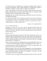it to Heaven. However, if I had died, I would have perished in Hell, in spite of all my good intentions. What a shame! Ignorance is sending more people to Hell than we imagine. I mean, people are simply not in the know!

Today, many churches are full of sincere people seeking God. But without the proper teaching from the pulpit about God's plan of salvation, many churchgoers will be disappointed at the last trumpet.

Speaking of the Jews, Paul testified that they indeed had a zeal for God, but not according to knowledge.

*For BEING IGNORANT of the righteousness that God ascribes (which makes one acceptable to Him in word, thought and deed), and seeking to establish a righteousness (a means of salvation) of their own, they did not obey or submit themselves to God's righteousness.*

*Romans 10:3, Amplified Bible*

#### It is no wonder Isaiah says:

*Therefore my people are gone into captivity, BECAUSE THEY HAVE NO KNOWLEDGE: and their honourable men are famished, and their multitude dried up with thirst. Therefore hell hath enlarged herself, and opened her mouth without measure...*

*Isaiah 5:13,14a*

Nobody in their right minds would go to Hell if they really knew what it was all about. After all, most people want to serve God. That is why they practise religion. Actually, religion is man's search for God. But Jesus is the only way to God. Anyone who desires to do business with God can only do so through Jesus (John 14:6; 1Timothy 2:5).

What is God's prescription for finding Heaven and avoiding Hell? Jesus said: "...Except a man be born again, he cannot see the Kingdom of God" (John 3:3).

My dear friend, YOU MUST BE BORN AGAIN! There is no other option. You must receive Christ as your personal Saviour.

Being born again is not a new idea being propagated by some young churches. It is a fundamental, biblical instruction given by Christ to everyone! I know of course, that many people are sincere, but mistaken. I am sad to say that sincerity alone will not save anybody.

I also believe that every single Christian (especially pastors) will give account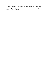to God, for withholding vital information about the reality of Hell from others.

If souls are perishing because of ignorance, then those with knowledge will definitely be held accountable.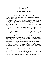# **Chapter 3**

#### **The Description of Hell**

<span id="page-18-0"></span>You might ask, "If there is such a place as Hell, then where exactly is it?"

According to God's Word, Hell is beneath us. Its specific geographical location is underground. Isaiah says: "Hell from BENEATH is moved…to meet thee..." (Isaiah 14:9).

In a book I read, a man of God gives a very vivid testimony about dying and going to Hell. He had been stricken with an incurable heart disease, which kept him bedfast most of the time. The illness got worse till he knew he was dying. He had been baptized and had been going to church all his life, but was not saved.

When he died, he felt his spirit (his real self, the inner man) coming out of his body. He could see his lifeless body on the bed. Then he began to go down into Hell. As he went down into the pitch darkness, it became hotter and hotter. When he could go no further, a fearsome, beastly creature emerged from the darkness. The foul, demonic monster grabbed his hand to receive him. Then it began to pull him through the thick darkness towards the unbearable heat.

Suddenly, a voice boomed from above. He did not understand the language. But the hand released him immediately, and his spirit sort of floated back up to the earth and into his body. This happened two more times, and each time his spirit was released to go back into his body.

Some months later his heart failed again, and he died. But this time he was born again. When his spirit came out of his body, he began to go up instead of down. This was sheer bliss; a totally different experience from his descent to Hell. Just then, he heard a voice saying, "Go back to earth! Your work is not done!"

I believe this testimony by this Minister, because it lines up with Scripture. In Isaiah 14:15, the Bible talks about being "cast down to hell." So does Psalm 55:15. And while Ezekiel 32:27 talks about going down to Hell, Paul is even more specific in the fourth chapter of the book of Ephesians:

*Wherefore he saith, When he ascended up on high, he led captivity captive,*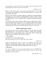*and gave gifts unto men. (Now that he ascended, what is it but that he also descended first into the lower parts of the earth?*

*Ephesians 4:8-9*

Hell is in the lower parts of the earth. Just think about it. So all this "descending" and "going down" leads somewhere after all. It leads to the lower parts of the earth!

Hell is not (as some have foolishly supposed), a gathering of all departed Rock and Reggae stars for an endless "jam, though there are many "wailers". In fact, the only thing that is close to singing in Hell is groaning, weeping and gnashing of teeth!

Hell cannot be just a state of mind. To dismiss it as an empty threat would be very risky indeed. Hell actually exists. It is a tangible, physical place and its location is down under; in the lower parts of the earth. Even as you read this, some people that you know are crying for help that will never, ever come.

#### **Different Departments in Hell**

The souls of men who die without Christ are not just flung into Hell indiscriminately. Yes, in the midst of the darkness, torment, pain, screaming, and all the horrors in the furnace, there is some order. Hell is divided into different areas, for different classifications of people.

#### **1. The entrance**

First, there is a sort of "reception" area. *Hell from beneath is moved...to MEET thee at thy coming...*

*Isaiah 14:9*

When the perished soul arrives in Hell, he is probably met by the most repulsive, foul-smelling, reptilian beasts at the gates of Hell. Then he is assigned to the part of Hell where the punishment most fits the crime.

#### **2. The levels**

*For a fire is kindled in mine anger, and shall burn unto the LOWEST hell, and shall consume the earth with her increase, and set on fire the foundations of the mountains*

*Deuteronomy 32:22*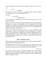Notice the expression "lowest hell", is the superlative of the word "low" as in:

Low

….................Lower

………………………….LOWEST

The levels are not the same. There is a progression here. One level differs from the other. Now let us look at it again this way:

Low Hell

………………Lower Hell

…………………………..LOWEST HELL

So you see, there are different levels in Hell and the lower the level, the greater the torment.

God is a just God, with a fairer sense of justice than all of us put together. Therefore, the severity of the punishment will be proportional to the sins committed. For example, those who have caused the death of so many people through wars, murder and witchcraft, may get a more severe punishment than perhaps, pickpockets or petty thieves.

Even in our earthly legal system there is a sense of fairness in the administration of justice. We pronounce different judgements for different crimes. Even our prisons have different areas, solitary confinement and so on. That is probably the way it is in Hell. There are various departments reserved for different groups of people. Now, let us discover what classes of people are predominant in Hell.

#### **Hell: A "Big Shot" Society**

Observe from the Scripture below that Hell has become the permanent address of many chief ones and kings of the nations.

*Hell from beneath is moved for thee to meet thee at thy coming: it stirreth up the dead for thee, even ALL THE CHIEF ONES OF THE EARTH; it hath raised up from their thrones ALL THE KINGS OF THE NATIONS*

*Isaiah 14:9*

This refers to kings, emperors, presidents, statesmen, film stars, business tycoons. These are the high and mighty in the society, the wealthy and the influential, the great leaders in history, the chief ones of the earth! Basically, Hell is a "big-shot" society.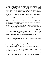This is not to say, of course, that there are no poor people there. However, the well-known disregard for the things of God by many rich people, has over the centuries populated Hell with them. While the Bible makes it clear that the poor are generally rich in faith, not many noble people have chosen the way to salvation. With all the comforts of affluence, the rich and powerful see no need for God.

No wonder Jesus said the rich would find it hard to get to Heaven; because of the deceitfulness of riches.

So where are all the heads of state, pop stars, great philosophers, business magnates and other famous world figures who have died?

Well, according to the Bible most of them are in Hell. And, while we hold state funerals for them and erect monuments in their honour, the old-timers of Hell will be saying to the newcomers:

*...Art THOU ALSO become weak as we? art thou become like unto us? THY POMP IS BROUGHT DOWN to the grave, and the noise of thy viols: the worm is spread under thee, and the worms cover thee*

*Isaiah 14:10, 11*

Those who are far from God in this life will still be far from God after death. Unfortunately, our glowing tributes will not change their destination. Neither can their wealth or their achievements buy them a place in Heaven.

It should not be surprising then, that Hell's roll call will sound like a "Who's Who" of the rich and famous.

#### **Hell is Expanding**

Hell is currently undergoing some major rehabilitation and extension works. What for? In order to cater for the multitudes who, alas, are streaming in.

*Therefore HELL HATH ENLARGED HERSELF, and OPENED HER MOUTH WITHOUT MEASURE: and their glory, and their multitude, and their pomp, and he that rejoiceth, shall descend into it*

*Isaiah 5:14*

The mouth of Hell is probably the main gate of Hell. It is being enlarged! It is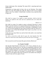being worked upon. How alarming! This means Hell is expecting much more human traffic!

Preparations are being made for those who are not Christians. This should make you sit up! This should also make the church of God sit up. It should shake us out of our slumber. It should make everybody sit up, especially those living in sin.

#### **Escape from Hell**

*How shall we escape, if we neglect so great salvation; which at the first began to be spoken by the Lord, and was confirmed unto us by them that heard him;*

*Hebrews 2:3*

How shall we escape if we neglect so great a salvation? Salvation is a great thing. If your boat capsizes at sea and you find yourself floating on the sea, you will wonder how you can be saved? But if a helicopter is dispatched to rescue you, will you not be grateful for such a great salvation on the sea? However, if you refuse to go on board that helicopter when it gets to you, there is no way you can be saved.

In the same way, Jesus Christ was sent by God to this earth, to save man from perishing in Hell.

*For God so loved the world, that he gave his only begotten Son that whosoever believeth in him should not perish but have life everlasting*

*John 3:16*

How can you be saved if you reject this great salvation offered you?

#### **Is a Transfer Possible?**

One big-shot found himself in Hell (Luke 16:23). From a distance he saw a former hustler relaxing in Heaven. This man was undoubtedly surprised to find himself in Hell and conscious, even after death. In his desperation, he sent a telex to Abraham asking for a possible transfer! But Abraham explained to him that transfer out of Hell was not going to be possible! Hell is a permanent situation! As the anguish of this man worsened, he sent another telex asking for a drop of water, not even a glass of water.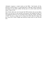Abraham's response is stated clearly in the Bible: "And beside all this, between us and you there is a great gulf fixed: so that they which would pass from hence to you cannot; neither can they pass to us, that would come from thence" (Luke 16:26).

Dear friend, make sure you do not get into Hell, because once you are there, there is no way out! As you read this, ask yourself: Am I headed for Hell? Or am I headed for Heaven? Are you going to burn in the fires, flames, and fumes of Hell? You have a chance now to escape from Hell! Take this chance and give your life to Christ. Simply and sincerely accept Christ as your Saviour now.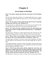# **Chapter 4**

#### **Seven Steps to Salvation**

#### <span id="page-24-0"></span>**Step 1: "For all have sinned, and come short of the glory of God" (Romans 3:23).**

The first step to this great salvation is to acknowledge that you are a sinner. You must know that no matter how good you are, you are not good enough to save yourself.

#### **Step 2: "For the wages of sin is death; but the gift of God is eternal life through Jesus Christ our Lord" (Romans 6:23).**

The second step is to understand that you will pay for your sin with your life. You must know that you deserve to die; you are condemned to death.

#### **Step 3: "For God so loved the world that He gave his only begotten son that whosoever believes in him should not perish but have everlasting life" (John 3:16).**

The third step to salvation is to know that God loves the world. He saw His children perishing, going down to Hell, and He tried His best to lift them up.

#### **Step 4: "But as many as received him, to them gave he power to become the sons of God, even to them that believe on his name" (John 1:12).**

The fourth step to salvation is to receive Jesus Christ. Experience will show you that people do not necessarily receive the good things that are given to them.

A born-again Christian is someone who has personally received Jesus Christ into his life and is determined to live a life controlled by the Word of God and under the guidance of the Spirit of God.

#### **Step 5: "That if thou shalt confess with thy mouth the Lord Jesus, and shalt believe in thine heart that God hath raised him from the dead, thou shalt be saved. For with the heart man believeth unto righteousness; and with the mouth confession is made unto salvation" (Romans 10:9, 10).**

The fifth step to salvation is to believe in Jesus with your heart and to confess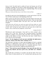Jesus as Lord. You don't need to confess all your sins because you will not remember everything, but you need to confess them generally. Again, in order to become born again, a person must do two important things. First, he must believe in Jesus Christ as the Son of God.

*Whosoever believeth that Jesus is the Christ is born of God...*

*1 John 5:1*

Secondly, he must invite Jesus through prayer, to come into his heart or his life. You will find a model prayer at the beginning of this book.

When a person says this prayer and means it from the bottom of his heart, the Spirit of God will then come upon him, and into his heart. Thus, his inner being will be born or produced again. God gives him a new heart and spirit altogether.

*A new heart also will I give you, and a new spirit will I put within you: and I will take away the stony heart out of your flesh, and I will give you an heart of flesh. And I will put my spirit within you, and cause you to walk in my statutes, and ye shall keep my judgments, and do them*

*Ezekiel 36:26-27*

With that new spirit, he becomes a "new man" or a "new creature", and is ready to live a "new life". This new life is possible because a born-again Christian is actually a new person with a new heart. To be born again is as simple as that. Believe in Jesus. Ask Him into your heart. Confess Him as Lord. And you will be born again.

#### **Step 6: "For the kingdom of God is not meat and drink; but righteousness, and peace, and joy in the Holy Ghost" (Romans 14:17).**

The sixth step to salvation is to know that the Kingdom of God is a spiritual kingdom; it is righteousness, peace, and joy in the Holy Ghost. The faith we have found is not about meat and drink. It is a spiritual experience. God is trying to make you develop into a righteous and spiritual person.

#### **Step 7: "Then said Jesus unto his disciples, If any man will come after me, let him deny himself, and take up his cross, and follow me" (Matthew 16:24).**

The seventh step to salvation is to sacrifice your life for Christ. The way to follow Jesus is to deny yourself, say "no" to yourself and to take up your cross.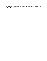You've got to lose something. You must change when you come to Christ. That is the price of salvation.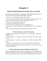## **Chapter 5**

#### **What You Must Know Now that You Are Saved**

<span id="page-27-0"></span>Now that you are born again, it is important to fully understand your new life in Christ and to build up on what God has begun in your life.

You have now received these blessings from the Lord:

1. All your sins past and present ones are forgiven by Jesus' sacrifice. Your future sins will also be forgiven if you confess them: 1 John 1:9.

2. You have received eternal life: John 5:24.

3. You are now a child of God: John 1:12.

4. You are now a new creation in Christ: 2 Corinthians 5:17.

5. Your name is written in Heaven in the Lamb's Book of Life: Revelation 21:27

6. You will go to Heaven, the New Jerusalem: Revelation 21:23-24.

#### **What You Must Know about Water Baptism**

1. Baptism comes from the Greek word *"baptiso"* which means "immersion": Matthew 3:16

2. Water baptism is a command to anyone who becomes born again: Mark 16:15-16.

3. Water baptism is a direct act of obedience to Christ's instruction: Mark 16:16.

4. Baptism is an open declaration of our new stand in Christ: Galatians 3:27.

5. We identify with the death, burial and resurrection of our Lord Jesus Christ in baptism: Romans 6:4.

#### **What You Must Know about the Baptism of the Holy Ghost**

What is the baptism of the Holy Ghost? The baptism of the Holy Ghost is an experience the believer receives after being born again. It is a promise from God to all those who believe in Jesus Christ. John the Baptist gave witness of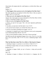Christ before His baptism that He would baptize us with the Holy Ghost, and with fire:

Matthew 3:11.

#### **1. What happens when a person receives the baptism of the Holy Ghost?**

The initial sign that you are baptized with the Holy Ghost is that you speak in tongues: Acts 2:1-4; Acts 19:6.

#### **2. Who can receive the baptism of the Holy Ghost?**

Anyone who is born again can receive the baptism of the Holy Ghost with the evidence of speaking in tongues: Mark 16:17.

#### **3. How to receive the baptism of the Holy Ghost**

a. Firstly, you must be born again. This is the most important qualification: Mark 16:17.

b. Secondly, you must desire the Holy Spirit: Acts 2:38-39.

c. Pray and ask God to baptize you with the Holy Ghost: Luke 11:13.

d. Exercise your faith by speaking out in tongues: Acts 2:4.

e. Sometimes it is helpful to get a senior Christian to assist you by laying hands on you and praying along with you: Acts 19:6.

f. Once you start speaking in tongues, don't stop it. Keep on praying!

The Bible describes the speaking of tongues in two ways. First it is a river that flows out of your belly: John 7:37-39. It is also a stammering tongue: Isaiah 28:11.

#### **What You Must Know about Why Every Believer Must Speak in Tongues**

1. Speaking in tongues is a promise to every believer: Mark 16:16, 17.

2. Speaking in tongues helps you to pray according to the will of God:

Romans 8:26, 27.

3. Speaking in tongues builds you up to become a strong and powerful Christian:

Jude 1:20.

4. Speaking in tongues is talking to God directly in a language only He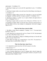understands: 1 Corinthians 14:2.

5. Speaking in tongues gives your spirit the opportunity to pray: 1 Corinthians  $14:14.$ 

6. Speaking in tongues makes your spirit pray best about things concerning you:

1 Corinthians 2:11.

7. Speaking in tongues makes you pray for a long time, as you are not limited by language, vocabulary and how to express yourself: 1 Corinthians 14:14.

8. Speaking in tongues is a better way to express thanks and appreciation to God: 1 Corinthians 14:16, 17

9. Speaking in tongues makes you more aware of the power of Christ: Acts 1:8.

10. Speaking in tongues makes you become more conscious of the presence of the Holy Spirit in you as you continue to communicate with God in tongues: John 14:16-17.

#### **What You Must Know about the Bible**

1. The Bible is God's Word to mankind: 2 Timothy. 3:16, 17. You must desire the Word: 1 Peter 2:2.

2. God's Word gives us direction for our lives: Psalm 119:105. Be determined to be a doer of the Word: James 1:22-25.

3. The Word of God helps to change our thinking and keeps us from the bad habits of our past: Psalm 119:9.

4. God's Word will make you a strong believer: Acts 20:32. You must have a daily quiet time to read the Bible: Joshua 1:8.

#### **What You Must Know about Prayer**

1. It is important to spend some time with God in prayer every day:

1 Thessalonians 5:17.

2. Prayer builds you up in your faith: Jude 1:20.

3. Every Christian should pray at least 30 minutes daily when he begins the habit of prayer. You should move up to praying for an hour as you grow in your daily prayer habit: Matthew 26:40.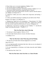4. Prayer helps you to overcome temptations: Matthew 26:41.

- 5. You can pray about everything: Mark 11:24.
- 6. You can accompany your prayer with fasting sometimes: Matthew 6:17, 18.
- 7. Your prayer should include these important aspects of prayer:

a. Adoration. Praise and worship God for who He is and for what He means to you: Matthew 6:9; Psalm 103:1-3.

b. Confession. Confess your sins to obtain God's forgiveness and healing: 1 John 1:8,

9. Confess your faith by declaring or speaking out your faith in God's Word:

Romans 10:10; Mark 11:23; Philemon 1:6.

a. Thanksgiving. Thank God in all circumstances: 1 Thessalonians 5:18. Thank God for the things He does in your life: Psalm 106:1. Thank God in advance for what you have asked from Him but haven't seen yet: Philippians 4:6.

b. Supplication. Ask God for everything you need: Matthew 7:7. Ask Him for things concerning other people: 1 Timothy 2:1, 2.

#### **What You Must Know about Fellowship**

- 1. You must go to church regularly: Hebrews 10:25.
- 2. You must make friends and move closely with other Christians:
- 1 Corinthians 15:33.

#### **What You Must Know about Witnessing and Soul Winning**

1. We must tell our friends about what has happened to us in Christ:

John 4:28-30, 39.

2. It is an important public declaration that shows that you are not ashamed of Christ before men: Romans 1:16.

3. It is our responsibility as Christians to tell others about the truth: Matthew 28:18-20.

4. You must bear fruit: John 15:16.

#### **What You Must Know about Your Role as a Church Member**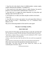1. Your first role in the church is that of a faithful attendee: constant, regular, reliable, dedicated and committed: 1 Corinthians 4:2.

2. Your second role in the church is that of a stable Christian. You must be planted in a local church and be established there: Psalm 92:12, 13.

3. Your third role is to support the church financially, by giving tithes and offerings: Luke 6:38; Proverbs 3:9, 10.

4. Your fourth role is to make your talents and gifts available to the church:

1 Peter 4:10.

5. Your fifth role is to know your pastors, love and respect them, believe in them, and pray for them: 1 Thessalonians 5:12, 13; 2 Chronicles 20:20; Hebrews 13:18.

May you be rooted and grounded in Christ until He comes again!

#### **One prayer can change your life...**

#### *PRAY THIS NOW*

If you want to be born again, you must ask Jesus to come into your heart and life. You must say a prayer like this and mean it from the bottom of your heart:

*"Lord Jesus, I come to You as a sinner, lost and condemned to Hell. I repent of my sins and ask for your forgiveness.*

*I believe with all my heart that You died on the cross and rose up again for my sins.*

*I open my heart to You and receive You as my Lord and personal Saviour. Please take control of my life and make me what You want me to be.*

*From today, I am Yours and You are mine. Thank You, Father for this wonderful gift of salvation, Amen."*

\*\*\*\*\*\*\*\*\*\*\*\*\*\*\*\*\*\*\*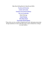Other Best-Selling Books by Dag Heward-Mills: \*Loyalty and [Disloyalty](http://www.smashwords.com/books/view/16044) [Leaders](http://www.smashwords.com/books/view/38395) and Loyalty [Transform](http://www.smashwords.com/books/view/38526) Your Pastoral Ministry The Art of [Leadership](http://www.smashwords.com/books/view/38217) Model Marriage Church [Planting](http://www.smashwords.com/books/view/16119) \*The Mega [Church](http://www.smashwords.com/books/view/16117) \*Lay People and the [Ministry](http://www.smashwords.com/books/view/16045)

\*These titles are also available in Spanish and French. Information about other foreign translations of some of the titles above may be obtained by writing to our email address.